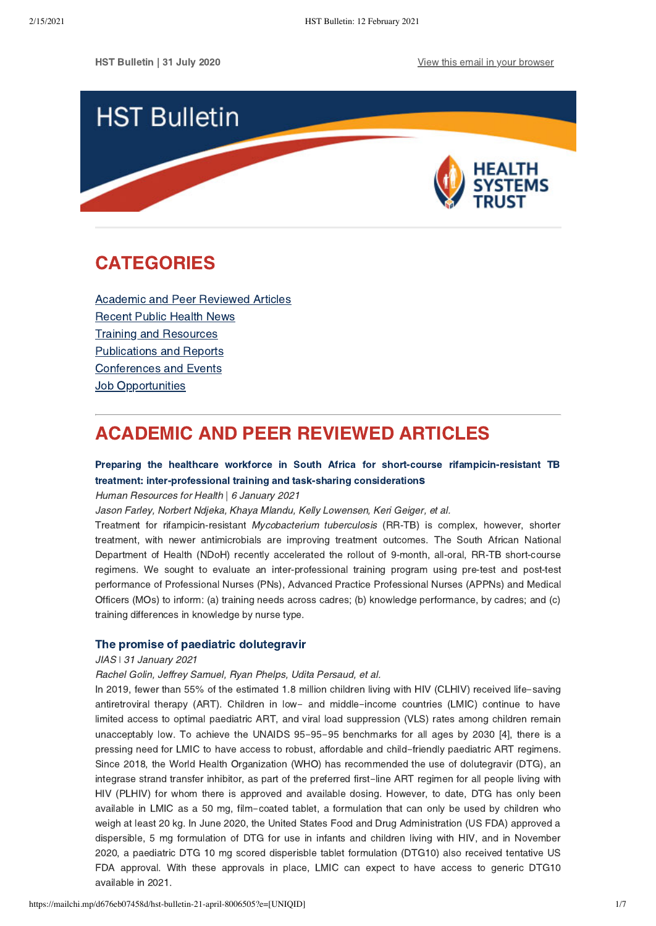

# <span id="page-0-1"></span>CATEGORIES

[Academic and Peer Reviewed Articles](#page-0-0) [Recent Public Health News](#page-2-0) Training and Resources [Publications and Reports](#page-4-0) [Conferences and Events](#page-5-0) **[Job Opportunities](#page-5-1)** 

# <span id="page-0-0"></span>ACADEMIC AND PEER REVIEWED ARTICLES

# [Preparing the healthcare workforce in South Africa for short-course rifampicin-resistant TB](https://human-resources-health.biomedcentral.com/articles/10.1186/s12960-020-00552-1) treatment: inter-professional training and task-sharing consideration[s](https://human-resources-health.biomedcentral.com/articles/10.1186/s12960-020-00552-1)

Human Resources for Health | 6 January 2021

Jason Farley, Norbert Ndjeka, Khaya Mlandu, Kelly Lowensen, Keri Geiger, et al.

Treatment for rifampicin-resistant Mycobacterium tuberculosis (RR-TB) is complex, however, shorter treatment, with newer antimicrobials are improving treatment outcomes. The South African National Department of Health (NDoH) recently accelerated the rollout of 9-month, all-oral, RR-TB short-course regimens. We sought to evaluate an inter-professional training program using pre-test and post-test performance of Professional Nurses (PNs), Advanced Practice Professional Nurses (APPNs) and Medical Officers (MOs) to inform: (a) training needs across cadres; (b) knowledge performance, by cadres; and (c) training differences in knowledge by nurse type.

## [The promise of paediatric dolutegravir](https://onlinelibrary.wiley.com/doi/full/10.1002/jia2.25660)

#### JIAS  $\vert$  31 January 2021

Rachel Golin, Jeffrey Samuel, Ryan Phelps, Udita Persaud, et al.

In 2019, fewer than 55% of the estimated 1.8 million children living with HIV (CLHIV) received life-saving antiretroviral therapy (ART). Children in low- and middle-income countries (LMIC) continue to have limited access to optimal paediatric ART, and viral load suppression (VLS) rates among children remain unacceptably low. To achieve the UNAIDS 95-95-95 benchmarks for all ages by 2030 [4], there is a pressing need for LMIC to have access to robust, affordable and child-friendly paediatric ART regimens. Since 2018, the World Health Organization (WHO) has recommended the use of dolutegravir (DTG), an integrase strand transfer inhibitor, as part of the preferred first-line ART regimen for all people living with HIV (PLHIV) for whom there is approved and available dosing. However, to date, DTG has only been available in LMIC as a 50 mg, film-coated tablet, a formulation that can only be used by children who weigh at least 20 kg. In June 2020, the United States Food and Drug Administration (US FDA) approved a dispersible, 5 mg formulation of DTG for use in infants and children living with HIV, and in November 2020, a paediatric DTG 10 mg scored disperisble tablet formulation (DTG10) also received tentative US FDA approval. With these approvals in place, LMIC can expect to have access to generic DTG10 available in 2021.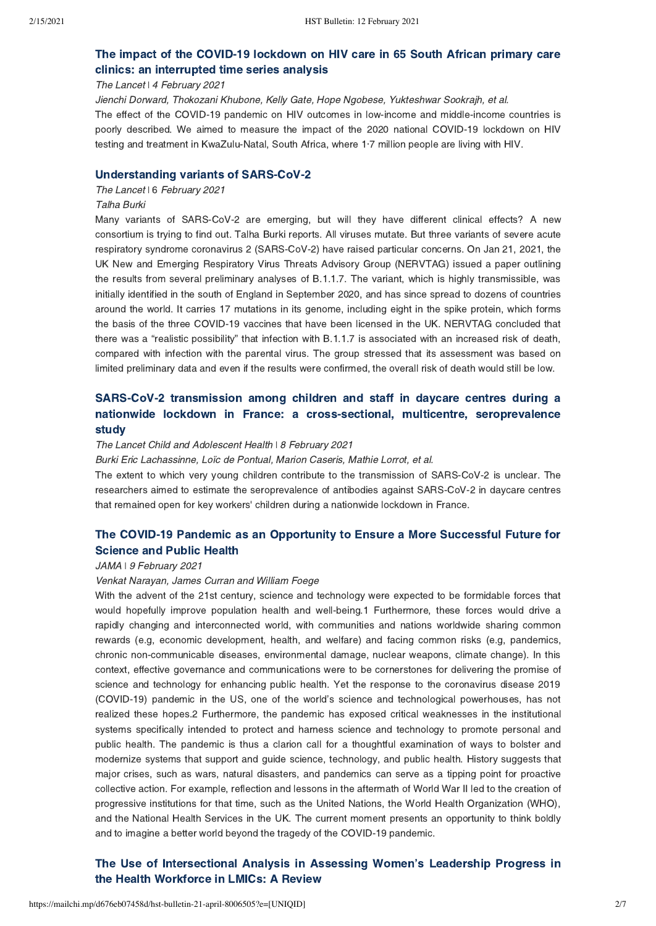# The impact of the COVID-19 lockdown [on HIV care in 65 South African primary care](https://www.thelancet.com/journals/lanhiv/article/PIIS2352-3018(20)30359-3/fulltext) clinics: an interrupted time series analysis

The Lancet | 4 February 2021

Jienchi Dorward, Thokozani Khubone, Kelly Gate, Hope Ngobese, Yukteshwar Sookrajh, et al.

The effect of the COVID-19 pandemic on HIV outcomes in low-income and middle-income countries is poorly described. We aimed to measure the impact of the 2020 national COVID-19 lockdown on HIV testing and treatment in KwaZulu-Natal, South Africa, where 1·7 million people are living with HIV.

#### [Understanding variants of SARS-CoV-2](https://www.thelancet.com/journals/lancet/article/PIIS0140-6736(21)00298-1/fulltext)

#### The Lancet I 6 February 2021

#### Talha Burki

Many variants of SARS-CoV-2 are emerging, but will they have different clinical effects? A new consortium is trying to find out. Talha Burki reports. All viruses mutate. But three variants of severe acute respiratory syndrome coronavirus 2 (SARS-CoV-2) have raised particular concerns. On Jan 21, 2021, the UK New and Emerging Respiratory Virus Threats Advisory Group (NERVTAG) issued a paper outlining the results from several preliminary analyses of B.1.1.7. The variant, which is highly transmissible, was initially identified in the south of England in September 2020, and has since spread to dozens of countries around the world. It carries 17 mutations in its genome, including eight in the spike protein, which forms the basis of the three COVID-19 vaccines that have been licensed in the UK. NERVTAG concluded that there was a "realistic possibility" that infection with B.1.1.7 is associated with an increased risk of death, compared with infection with the parental virus. The group stressed that its assessment was based on limited preliminary data and even if the results were confirmed, the overall risk of death would still be low.

# [SARS-CoV-2 transmission among children and staff in daycare centres during a](https://www.thelancet.com/journals/lanchi/article/PIIS2352-4642(21)00024-9/fulltext) nationwide lockdown in France: a cross-sectional, multicentre, seroprevalence study

#### The Lancet Child and Adolescent Health \ 8 February 2021

Burki Eric Lachassinne, Loïc de Pontual, Marion Caseris, Mathie Lorrot, et al.

The extent to which very young children contribute to the transmission of SARS-CoV-2 is unclear. The researchers aimed to estimate the seroprevalence of antibodies against SARS-CoV-2 in daycare centres that remained open for key workers' children during a nationwide lockdown in France.

# [The COVID-19 Pandemic as an Opportunity to Ensure a More Successful Future for](https://jamanetwork.com/journals/jama/fullarticle/2776207?guestAccessKey=c9514eb4-74bf-49d8-904f-f9b228f4c94d&utm_source=silverchair&utm_medium=email&utm_campaign=article_alert-jama&utm_content=etoc&utm_term=020921) Science and Public Health

### JAMA | 9 February 2021

#### Venkat Narayan, James Curran and William Foege

With the advent of the 21st century, science and technology were expected to be formidable forces that would hopefully improve population health and well-being.1 Furthermore, these forces would drive a rapidly changing and interconnected world, with communities and nations worldwide sharing common rewards (e.g, economic development, health, and welfare) and facing common risks (e.g, pandemics, chronic non-communicable diseases, environmental damage, nuclear weapons, climate change). In this context, effective governance and communications were to be cornerstones for delivering the promise of science and technology for enhancing public health. Yet the response to the coronavirus disease 2019 (COVID-19) pandemic in the US, one of the world's science and technological powerhouses, has not realized these hopes.2 Furthermore, the pandemic has exposed critical weaknesses in the institutional systems specifically intended to protect and harness science and technology to promote personal and public health. The pandemic is thus a clarion call for a thoughtful examination of ways to bolster and modernize systems that support and guide science, technology, and public health. History suggests that major crises, such as wars, natural disasters, and pandemics can serve as a tipping point for proactive collective action. For example, reflection and lessons in the aftermath of World War II led to the creation of progressive institutions for that time, such as the United Nations, the World Health Organization (WHO), and the National Health Services in the UK. The current moment presents an opportunity to think boldly and to imagine a better world beyond the tragedy of the COVID-19 pandemic.

# [The Use of Intersectional Analysis in Assessing Women's Leadership Progress in](https://www.ijhpm.com/article_4009.html) the Health Workforce in LMICs: A Review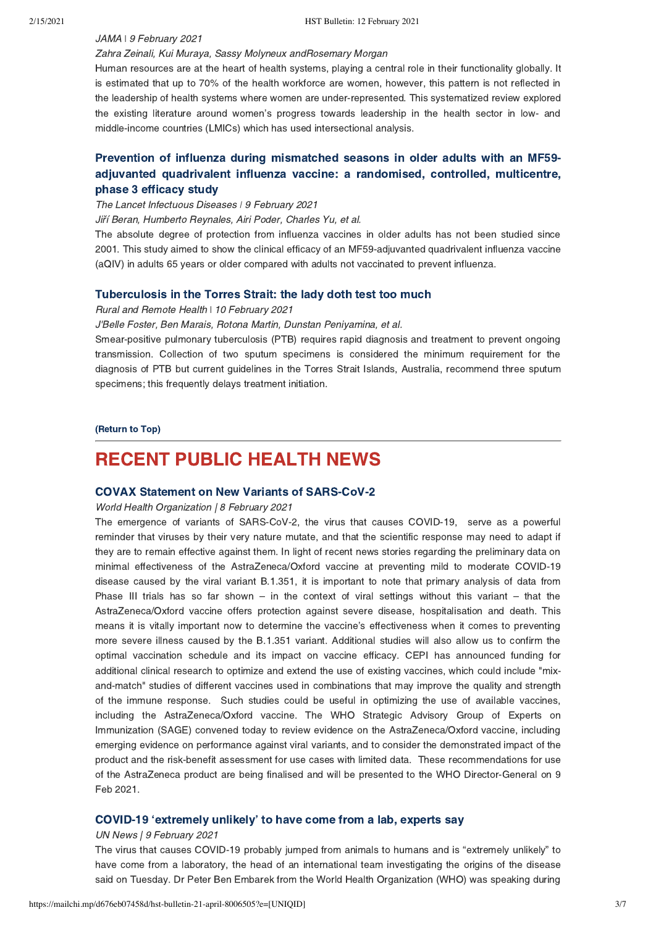## JAMA | 9 February 2021

### Zahra Zeinali, Kui Muraya, Sassy Molyneux andRosemary Morgan

Human resources are at the heart of health systems, playing a central role in their functionality globally. It is estimated that up to 70% of the health workforce are women, however, this pattern is not reflected in the leadership of health systems where women are under-represented. This systematized review explored the existing literature around women's progress towards leadership in the health sector in low- and middle-income countries (LMICs) which has used intersectional analysis.

# Prevention of influenza during mismatched seasons in older adults with an MF59 [adjuvanted quadrivalent influenza vaccine: a randomised, controlled, multicentre,](https://www.thelancet.com/journals/laninf/article/PIIS1473-3099(20)30694-0/fulltext) phase 3 efficacy study

### The Lancet Infectuous Diseases | 9 February 2021

Jiří Beran, Humberto Reynales, Airi Poder, Charles Yu, et al.

The absolute degree of protection from influenza vaccines in older adults has not been studied since 2001. This study aimed to show the clinical efficacy of an MF59-adjuvanted quadrivalent influenza vaccine (aQIV) in adults 65 years or older compared with adults not vaccinated to prevent influenza.

## [Tuberculosis in the Torres Strait: the lady doth test too much](https://www.rrh.org.au/journal/article/6317)

Rural and Remote Health \ 10 February 2021

J'Belle Foster, Ben Marais, Rotona Martin, Dunstan Peniyamina, et al.

Smear-positive pulmonary tuberculosis (PTB) requires rapid diagnosis and treatment to prevent ongoing transmission. Collection of two sputum specimens is considered the minimum requirement for the diagnosis of PTB but current guidelines in the Torres Strait Islands, Australia, recommend three sputum specimens; this frequently delays treatment initiation.

[\(Return to Top\)](#page-0-1)

# <span id="page-2-0"></span>RECENT PUBLIC HEALTH NEWS

## [COVAX Statement on New Variants of SARS-CoV-2](https://www.who.int/news/item/08-02-2021-covax-statement-on-new-variants-of-sars-cov-2#.YCGjDcKZI14.twitter%C2%A0)

World Health Organization | 8 February 2021

The emergence of variants of SARS-CoV-2, the virus that causes COVID-19, serve as a powerful reminder that viruses by their very nature mutate, and that the scientific response may need to adapt if they are to remain effective against them. In light of recent news stories regarding the preliminary data on minimal effectiveness of the AstraZeneca/Oxford vaccine at preventing mild to moderate COVID-19 disease caused by the viral variant B.1.351, it is important to note that primary analysis of data from Phase III trials has so far shown – in the context of viral settings without this variant – that the AstraZeneca/Oxford vaccine offers protection against severe disease, hospitalisation and death. This means it is vitally important now to determine the vaccine's effectiveness when it comes to preventing more severe illness caused by the B.1.351 variant. Additional studies will also allow us to confirm the optimal vaccination schedule and its impact on vaccine efficacy. CEPI has announced funding for additional clinical research to optimize and extend the use of existing vaccines, which could include "mixand-match" studies of different vaccines used in combinations that may improve the quality and strength of the immune response. Such studies could be useful in optimizing the use of available vaccines, including the AstraZeneca/Oxford vaccine. The WHO Strategic Advisory Group of Experts on Immunization (SAGE) convened today to review evidence on the AstraZeneca/Oxford vaccine, including emerging evidence on performance against viral variants, and to consider the demonstrated impact of the product and the risk-benefit assessment for use cases with limited data. These recommendations for use of the AstraZeneca product are being finalised and will be presented to the WHO Director-General on 9 Feb 2021.

## [COVID-19 'extremely unlikely' to have come from a lab, experts say](https://news.un.org/en/story/2021/02/1084252%C2%A0)

#### UN News | 9 February 2021

The virus that causes COVID-19 probably jumped from animals to humans and is "extremely unlikely" to have come from a laboratory, the head of an international team investigating the origins of the disease said on Tuesday. Dr Peter Ben Embarek from the World Health Organization (WHO) was speaking during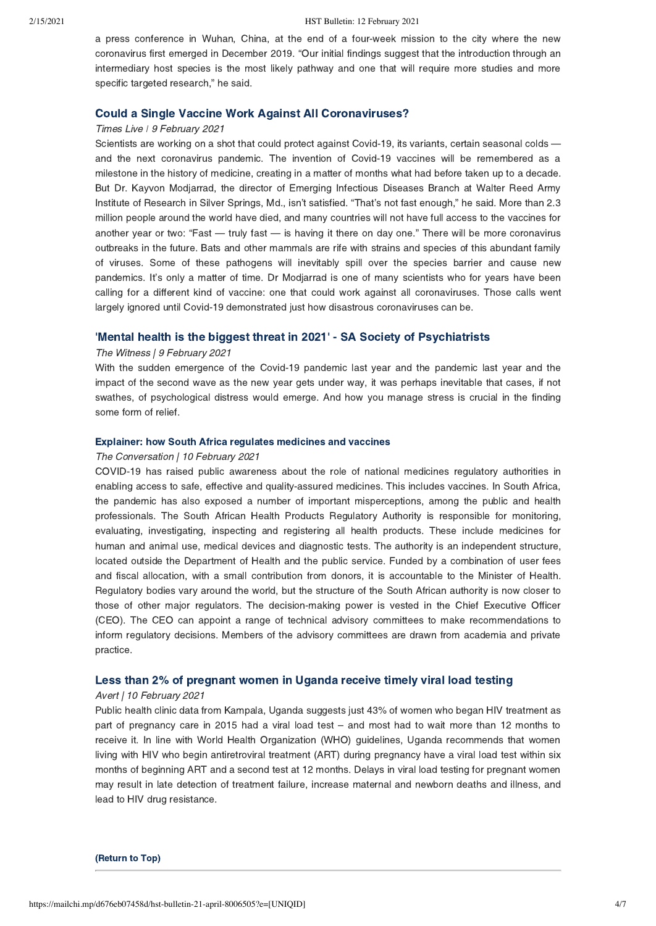a press conference in Wuhan, China, at the end of a four-week mission to the city where the new coronavirus first emerged in December 2019. "Our initial findings suggest that the introduction through an intermediary host species is the most likely pathway and one that will require more studies and more specific targeted research," he said.

## [Could a Single Vaccine Work Against All Coronaviruses?](https://www.nytimes.com/2021/02/09/health/universal-coronavirus-vaccine.html%C2%A0)

## Times Live | 9 February 2021

Scientists are working on a shot that could protect against Covid-19, its variants, certain seasonal colds and the next coronavirus pandemic. The invention of Covid-19 vaccines will be remembered as a milestone in the history of medicine, creating in a matter of months what had before taken up to a decade. But Dr. Kayvon Modjarrad, the director of Emerging Infectious Diseases Branch at Walter Reed Army Institute of Research in Silver Springs, Md., isn't satisfied. "That's not fast enough," he said. More than 2.3 million people around the world have died, and many countries will not have full access to the vaccines for another year or two: "Fast — truly fast — is having it there on day one." There will be more coronavirus outbreaks in the future. Bats and other mammals are rife with strains and species of this abundant family of viruses. Some of these pathogens will inevitably spill over the species barrier and cause new pandemics. It's only a matter of time. Dr Modjarrad is one of many scientists who for years have been calling for a different kind of vaccine: one that could work against all coronaviruses. Those calls went largely ignored until Covid-19 demonstrated just how disastrous coronaviruses can be.

## ['Mental health is the biggest threat in 2021' - SA Society of Psychiatrists](https://www.news24.com/witness/news/mental-health-is-the-biggest-threat-in-2021-sa-society-of-psychiatrists-20210209)

### The Witness | 9 February 2021

With the sudden emergence of the Covid-19 pandemic last year and the pandemic last year and the impact of the second wave as the new year gets under way, it was perhaps inevitable that cases, if not swathes, of psychological distress would emerge. And how you manage stress is crucial in the finding some form of relief.

#### [Explainer: how South Africa regulates medicines and vaccines](https://theconversation.com/explainer-how-south-africa-regulates-medicines-and-vaccines-154843%C2%A0)

## The Conversation | 10 February 2021

COVID-19 has raised public awareness about the role of national medicines regulatory authorities in enabling access to safe, effective and quality-assured medicines. This includes vaccines. In South Africa, the pandemic has also exposed a number of important misperceptions, among the public and health professionals. The South African Health Products Regulatory Authority is responsible for monitoring, evaluating, investigating, inspecting and registering all health products. These include medicines for human and animal use, medical devices and diagnostic tests. The authority is an independent structure, located outside the Department of Health and the public service. Funded by a combination of user fees and fiscal allocation, with a small contribution from donors, it is accountable to the Minister of Health. Regulatory bodies vary around the world, but the structure of the South African authority is now closer to those of other major regulators. The decision-making power is vested in the Chief Executive Officer (CEO). The CEO can appoint a range of technical advisory committees to make recommendations to inform regulatory decisions. Members of the advisory committees are drawn from academia and private practice.

### [Less than 2% of pregnant women in Uganda receive timely viral load testing](https://www.avert.org/news/less-2-pregnant-women-uganda-receive-timely-viral-load-testing%C2%A0)

## Avert | 10 February 2021

Public health clinic data from Kampala, Uganda suggests just 43% of women who began HIV treatment as part of pregnancy care in 2015 had a viral load test – and most had to wait more than 12 months to receive it. In line with World Health Organization (WHO) guidelines, Uganda recommends that women living with HIV who begin antiretroviral treatment (ART) during pregnancy have a viral load test within six months of beginning ART and a second test at 12 months. Delays in viral load testing for pregnant women may result in late detection of treatment failure, increase maternal and newborn deaths and illness, and lead to HIV drug resistance.

[\(Return to Top\)](#page-0-1)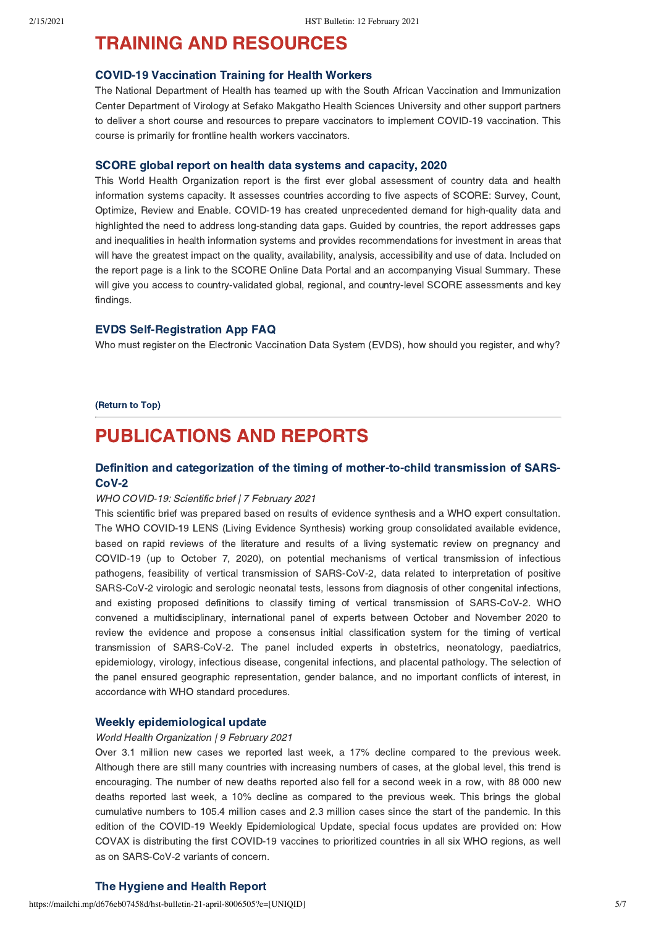# <span id="page-4-0"></span>TRAINING AND RESOURCES

#### [COVID-19 Vaccination Training for Health Workers](https://www.knowledgehub.org.za/form/covid-19-vaccination-training%C2%A0)

The National Department of Health has teamed up with the South African Vaccination and Immunization Center Department of Virology at Sefako Makgatho Health Sciences University and other support partners to deliver a short course and resources to prepare vaccinators to implement COVID-19 vaccination. This course is primarily for frontline health workers vaccinators.

#### [SCORE global report on health data systems and capacity, 2020](https://www.who.int/data/data-collection-tools/score/dashboard#/)

This World Health Organization report is the first ever global assessment of country data and health information systems capacity. It assesses countries according to five aspects of SCORE: Survey, Count, Optimize, Review and Enable. COVID-19 has created unprecedented demand for high-quality data and highlighted the need to address long-standing data gaps. Guided by countries, the report addresses gaps and inequalities in health information systems and provides recommendations for investment in areas that will have the greatest impact on the quality, availability, analysis, accessibility and use of data. Included on the report page is a link to the SCORE Online Data Portal and an accompanying Visual Summary. These will give you access to country-validated global, regional, and country-level SCORE assessments and key findings.

### [EVDS Self-Registration App FAQ](https://sacoronavirus.co.za/evds/)

Who must register on the Electronic Vaccination Data System (EVDS), how should you register, and why?

[\(Return to Top\)](#page-0-1)

# PUBLICATIONS AND REPORTS

## [Definition and categorization of the timing of mother-to-child transmission of SARS-](https://www.who.int/publications/i/item/WHO-2019-nCoV-mother-to-child-transmission-2021.1)CoV-2

#### WHO COVID-19: Scientific brief | 7 February 2021

This scientific brief was prepared based on results of evidence synthesis and a WHO expert consultation. The WHO COVID-19 LENS (Living Evidence Synthesis) working group consolidated available evidence, based on rapid reviews of the literature and results of a living systematic review on pregnancy and COVID-19 (up to October 7, 2020), on potential mechanisms of vertical transmission of infectious pathogens, feasibility of vertical transmission of SARS-CoV-2, data related to interpretation of positive SARS-CoV-2 virologic and serologic neonatal tests, lessons from diagnosis of other congenital infections, and existing proposed definitions to classify timing of vertical transmission of SARS-CoV-2. WHO convened a multidisciplinary, international panel of experts between October and November 2020 to review the evidence and propose a consensus initial classification system for the timing of vertical transmission of SARS-CoV-2. The panel included experts in obstetrics, neonatology, paediatrics, epidemiology, virology, infectious disease, congenital infections, and placental pathology. The selection of the panel ensured geographic representation, gender balance, and no important conflicts of interest, in accordance with WHO standard procedures.

#### [Weekly epidemiological update](https://www.who.int/publications/m/item/weekly-epidemiological-update---9-february-2021%C2%A0)

#### World Health Organization | 9 February 2021

Over 3.1 million new cases we reported last week, a 17% decline compared to the previous week. Although there are still many countries with increasing numbers of cases, at the global level, this trend is encouraging. The number of new deaths reported also fell for a second week in a row, with 88 000 new deaths reported last week, a 10% decline as compared to the previous week. This brings the global cumulative numbers to 105.4 million cases and 2.3 million cases since the start of the pandemic. In this edition of the COVID-19 Weekly Epidemiological Update, special focus updates are provided on: How COVAX is distributing the first COVID-19 vaccines to prioritized countries in all six WHO regions, as well as on SARS-CoV-2 variants of concern.

## [The Hygiene and Health Report](http://reports.essity.com/2020-21/hygiene-and-health-report/en/)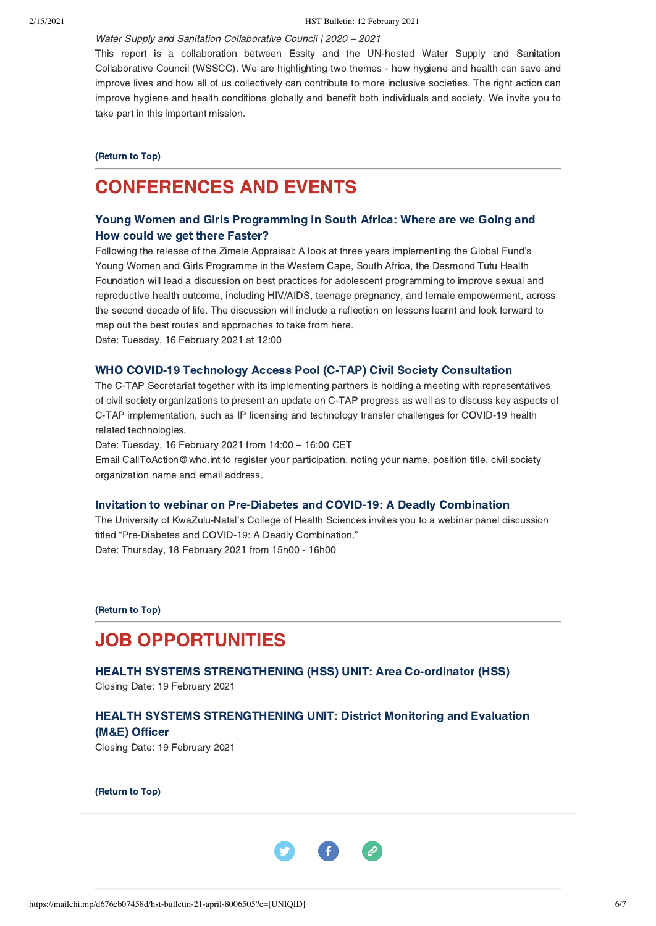Water Supply and Sanitation Collaborative Council | 2020 – 2021

This report is a collaboration between Essity and the UN-hosted Water Supply and Sanitation Collaborative Council (WSSCC). We are highlighting two themes - how hygiene and health can save and improve lives and how all of us collectively can contribute to more inclusive societies. The right action can improve hygiene and health conditions globally and benefit both individuals and society. We invite you to take part in this important mission.

#### [\(Return to Top\)](#page-0-1)

# <span id="page-5-0"></span>CONFERENCES AND EVENTS

# [Young Women and Girls Programming in South Africa: Where are we Going and](https://us02web.zoom.us/webinar/register/WN_yB_2T0daTbWT0deikN2jsw?fbclid=IwAR0Ow8nsdRcQ6hcYUSCAW_oUUWRXX7c3rNDXZN579iKmyVTtAscjw3X01zM%C2%A0) How could we get there Faster?

Following the release of the Zimele Appraisal: A look at three years implementing the Global Fund's Young Women and Girls Programme in the Western Cape, South Africa, the Desmond Tutu Health Foundation will lead a discussion on best practices for adolescent programming to improve sexual and reproductive health outcome, including HIV/AIDS, teenage pregnancy, and female empowerment, across the second decade of life. The discussion will include a reflection on lessons learnt and look forward to map out the best routes and approaches to take from here. Date: Tuesday, 16 February 2021 at 12:00

# The C-TAP Secretariat together with its implementing partners is holding a meeting with representatives of civil society organizations to present an update on C-TAP progress as well as to discuss key aspects of C-TAP implementation, such as IP licensing and technology transfer challenges for COVID-19 health

related technologies.

Date: Tuesday, 16 February 2021 from 14:00 – 16:00 CET

Email CallToAction@who.int to register your participation, noting your name, position title, civil society organization name and email address.

### [Invitation to webinar on Pre-Diabetes and COVID-19: A Deadly Combination](https://ukzn.zoom.us/webinar/register/WN_AO_Z7qZCTlq9fq5O2PbMBQ?fbclid=IwAR1sOtXzKdRNtSozaWUglwWQmjkuN-b_nMwr0yqshhYWt8R8MrC6D6_r0QY)

[WHO COVID-19 Technology Access Pool \(C-TAP\) Civil Society Consultation](https://www.who.int/news-room/events/detail/2021/02/16/default-calendar/who-covid-19-technology-access-pool-(c-tap)-civil-society-consultation%C2%A0)

The University of KwaZulu-Natal's College of Health Sciences invites you to a webinar panel discussion titled "Pre-Diabetes and COVID-19: A Deadly Combination." Date: Thursday, 18 February 2021 from 15h00 - 16h00

[\(Return to Top\)](#page-0-1)

# <span id="page-5-1"></span>JOB OPPORTUNITIES

[HEALTH SYSTEMS STRENGTHENING \(HSS\) UNIT: Area Co-ordinator \(HSS\)](https://www.hst.org.za/Pages/Area-Co-ordinator-(HSS).aspx) Closing Date: 19 February 2021

## [HEALTH SYSTEMS STRENGTHENING UNIT: District Monitoring and Evaluation](https://www.hst.org.za/Pages/District-Monitoring-and-Evaluation-(ME)-Officer.aspx%C2%A0) (M&E) Officer

Closing Date: 19 February 2021

[\(Return to Top\)](#page-0-1)